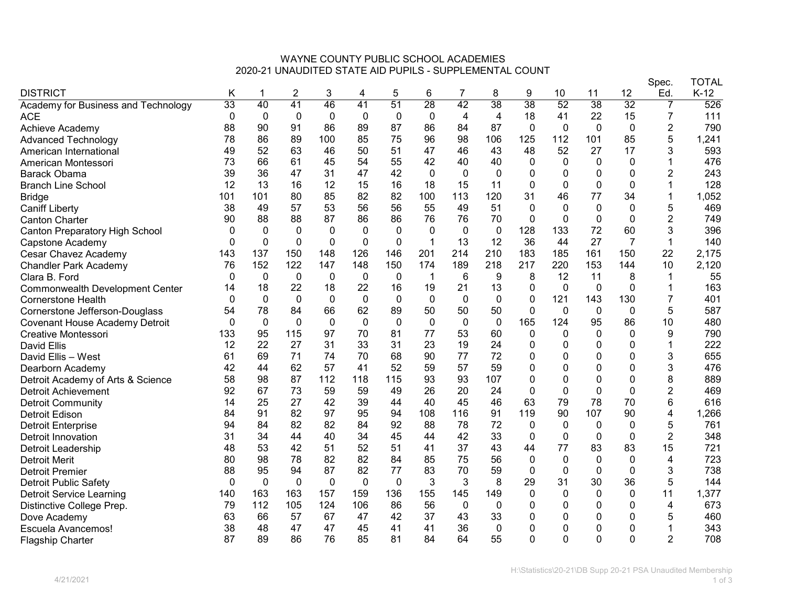## WAYNE COUNTY PUBLIC SCHOOL ACADEMIES 2020-21 UNAUDITED STATE AID PUPILS - SUPPLEMENTAL COUNT

|                                        |                 |              |              |              |              |              |                 |             |                 |                 |                |              |              | Spec.          | TOTAL  |
|----------------------------------------|-----------------|--------------|--------------|--------------|--------------|--------------|-----------------|-------------|-----------------|-----------------|----------------|--------------|--------------|----------------|--------|
| <b>DISTRICT</b>                        | Κ               |              | 2            | 3            | 4            | 5            | 6               | 7           | 8               | 9               | 10             | 11           | 12           | Ed.            | $K-12$ |
| Academy for Business and Technology    | $\overline{33}$ | 40           | 41           | 46           | 41           | 51           | $\overline{28}$ | 42          | $\overline{38}$ | $\overline{38}$ | 52             | 38           | 32           | 7              | 526    |
| <b>ACE</b>                             | $\mathbf 0$     | 0            | 0            | $\mathbf 0$  | 0            | $\mathbf 0$  | $\mathbf 0$     | 4           | 4               | 18              | 41             | 22           | 15           | 7              | 111    |
| Achieve Academy                        | 88              | 90           | 91           | 86           | 89           | 87           | 86              | 84          | 87              | $\mathbf 0$     | $\mathbf 0$    | 0            | $\mathbf 0$  | $\overline{2}$ | 790    |
| <b>Advanced Technology</b>             | 78              | 86           | 89           | 100          | 85           | 75           | 96              | 98          | 106             | 125             | 112            | 101          | 85           | 5              | 1,241  |
| American International                 | 49              | 52           | 63           | 46           | 50           | 51           | 47              | 46          | 43              | 48              | 52             | 27           | 17           | 3              | 593    |
| American Montessori                    | 73              | 66           | 61           | 45           | 54           | 55           | 42              | 40          | 40              | 0               | 0              | $\mathbf{0}$ | 0            |                | 476    |
| Barack Obama                           | 39              | 36           | 47           | 31           | 47           | 42           | $\mathbf{0}$    | $\mathbf 0$ | $\mathbf{0}$    | 0               | $\mathbf 0$    | 0            | 0            | $\overline{2}$ | 243    |
| <b>Branch Line School</b>              | 12              | 13           | 16           | 12           | 15           | 16           | 18              | 15          | 11              | 0               | $\pmb{0}$      | $\mathbf{0}$ | $\mathbf{0}$ | 1              | 128    |
| <b>Bridge</b>                          | 101             | 101          | 80           | 85           | 82           | 82           | 100             | 113         | 120             | 31              | 46             | 77           | 34           |                | 1,052  |
| <b>Caniff Liberty</b>                  | 38              | 49           | 57           | 53           | 56           | 56           | 55              | 49          | 51              | $\mathbf 0$     | $\mathbf{0}$   | $\Omega$     | $\Omega$     | 5              | 469    |
| <b>Canton Charter</b>                  | 90              | 88           | 88           | 87           | 86           | 86           | 76              | 76          | 70              | $\mathbf 0$     | $\mathbf 0$    | $\mathbf{0}$ | 0            | $\overline{2}$ | 749    |
| <b>Canton Preparatory High School</b>  |                 | $\mathbf{0}$ | $\Omega$     | $\Omega$     | $\mathbf{0}$ | $\mathbf{0}$ | $\mathbf{0}$    | $\mathbf 0$ | $\mathbf{0}$    | 128             | 133            | 72           | 60           | 3              | 396    |
| Capstone Academy                       | $\Omega$        | 0            | $\mathbf{0}$ | $\mathbf{0}$ | 0            | 0            | $\mathbf 1$     | 13          | 12              | 36              | 44             | 27           | 7            | 1              | 140    |
| Cesar Chavez Academy                   | 143             | 137          | 150          | 148          | 126          | 146          | 201             | 214         | 210             | 183             | 185            | 161          | 150          | 22             | 2,175  |
| <b>Chandler Park Academy</b>           | 76              | 152          | 122          | 147          | 148          | 150          | 174             | 189         | 218             | 217             | 220            | 153          | 144          | 10             | 2,120  |
| Clara B. Ford                          | 0               | 0            | $\mathbf{0}$ | 0            | 0            | 0            | $\mathbf 1$     | 6           | 9               | 8               | 12             | 11           | 8            | 1              | 55     |
| <b>Commonwealth Development Center</b> | 14              | 18           | 22           | 18           | 22           | 16           | 19              | 21          | 13              | 0               | $\overline{0}$ | $\mathbf 0$  | 0            |                | 163    |
| <b>Cornerstone Health</b>              | 0               | 0            | $\mathbf{0}$ | $\mathbf 0$  | 0            | 0            | $\mathbf 0$     | $\mathbf 0$ | $\mathbf{0}$    | 0               | 121            | 143          | 130          | 7              | 401    |
| Cornerstone Jefferson-Douglass         | 54              | 78           | 84           | 66           | 62           | 89           | 50              | 50          | 50              | 0               | $\mathbf{0}$   | $\mathbf{0}$ | $\mathbf{0}$ | 5              | 587    |
| <b>Covenant House Academy Detroit</b>  | 0               | $\pmb{0}$    | 0            | $\mathbf{0}$ | 0            | 0            | $\mathbf 0$     | $\mathbf 0$ | 0               | 165             | 124            | 95           | 86           | 10             | 480    |
| Creative Montessori                    | 133             | 95           | 115          | 97           | 70           | 81           | 77              | 53          | 60              | 0               | 0              | 0            | 0            | 9              | 790    |
| <b>David Ellis</b>                     | 12              | 22           | 27           | 31           | 33           | 31           | 23              | 19          | 24              | 0               | 0              | 0            | 0            | 1              | 222    |
| David Ellis - West                     | 61              | 69           | 71           | 74           | 70           | 68           | 90              | 77          | 72              | 0               | $\mathbf 0$    | 0            | 0            | 3              | 655    |
| Dearborn Academy                       | 42              | 44           | 62           | 57           | 41           | 52           | 59              | 57          | 59              | $\Omega$        | $\mathbf 0$    | 0            | $\Omega$     | 3              | 476    |
| Detroit Academy of Arts & Science      | 58              | 98           | 87           | 112          | 118          | 115          | 93              | 93          | 107             | 0               | 0              | 0            | 0            | 8              | 889    |
| <b>Detroit Achievement</b>             | 92              | 67           | 73           | 59           | 59           | 49           | 26              | 20          | 24              | $\mathbf 0$     | $\mathbf 0$    | $\mathbf 0$  | $\mathbf 0$  | $\overline{2}$ | 469    |
| <b>Detroit Community</b>               | 14              | 25           | 27           | 42           | 39           | 44           | 40              | 45          | 46              | 63              | 79             | 78           | 70           | 6              | 616    |
| <b>Detroit Edison</b>                  | 84              | 91           | 82           | 97           | 95           | 94           | 108             | 116         | 91              | 119             | 90             | 107          | 90           | 4              | 1,266  |
| <b>Detroit Enterprise</b>              | 94              | 84           | 82           | 82           | 84           | 92           | 88              | 78          | 72              | $\mathbf 0$     | 0              | 0            | 0            | 5              | 761    |
| Detroit Innovation                     | 31              | 34           | 44           | 40           | 34           | 45           | 44              | 42          | 33              | 0               | $\mathbf 0$    | $\mathbf{0}$ | $\mathbf{0}$ | $\overline{2}$ | 348    |
| Detroit Leadership                     | 48              | 53           | 42           | 51           | 52           | 51           | 41              | 37          | 43              | 44              | 77             | 83           | 83           | 15             | 721    |
| <b>Detroit Merit</b>                   | 80              | 98           | 78           | 82           | 82           | 84           | 85              | 75          | 56              | $\mathbf 0$     | $\mathbf 0$    | 0            | $\mathbf{0}$ | 4              | 723    |
| <b>Detroit Premier</b>                 | 88              | 95           | 94           | 87           | 82           | 77           | 83              | 70          | 59              | $\mathbf 0$     | $\pmb{0}$      | $\mathbf{0}$ | $\mathbf{0}$ | 3              | 738    |
| <b>Detroit Public Safety</b>           | $\Omega$        | $\mathbf{0}$ | $\mathbf{0}$ | $\mathbf{0}$ | $\mathbf{0}$ | 0            | 3               | 3           | 8               | 29              | 31             | 30           | 36           | 5              | 144    |
| <b>Detroit Service Learning</b>        | 140             | 163          | 163          | 157          | 159          | 136          | 155             | 145         | 149             | $\mathbf{0}$    | $\mathbf{0}$   | $\Omega$     | $\mathbf{0}$ | 11             | 1,377  |
| Distinctive College Prep.              | 79              | 112          | 105          | 124          | 106          | 86           | 56              | 0           | 0               | 0               | 0              | 0            | 0            | 4              | 673    |
| Dove Academy                           | 63              | 66           | 57           | 67           | 47           | 42           | 37              | 43          | 33              | 0               | 0              | 0            | 0            | 5              | 460    |
| <b>Escuela Avancemos!</b>              | 38              | 48           | 47           | 47           | 45           | 41           | 41              | 36          | 0               | 0               | 0              | 0            | 0            |                | 343    |
| <b>Flagship Charter</b>                | 87              | 89           | 86           | 76           | 85           | 81           | 84              | 64          | 55              | $\Omega$        | $\Omega$       | $\Omega$     | $\Omega$     | $\overline{2}$ | 708    |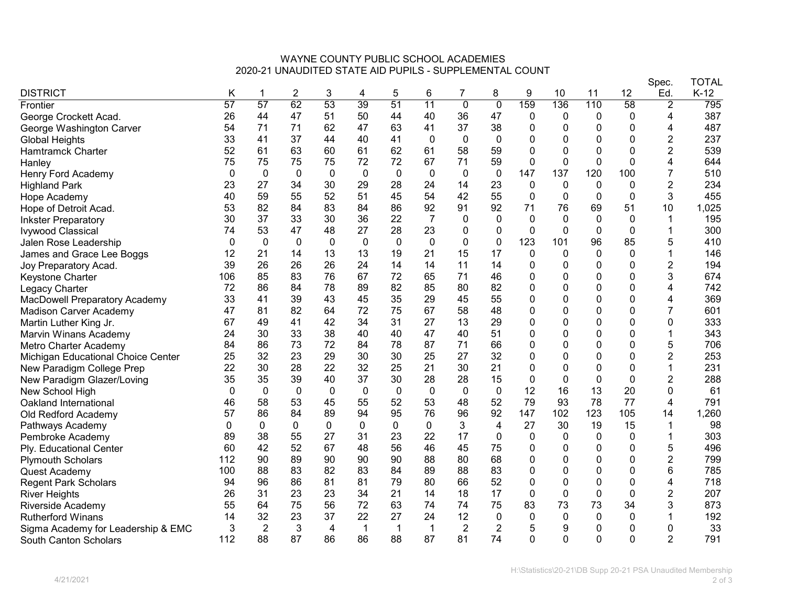## WAYNE COUNTY PUBLIC SCHOOL ACADEMIES 2020-21 UNAUDITED STATE AID PUPILS - SUPPLEMENTAL COUNT

|                                    |              |                |              |              |              |             |                |                |                |             |             |              |              | Spec.          | TOTAL  |
|------------------------------------|--------------|----------------|--------------|--------------|--------------|-------------|----------------|----------------|----------------|-------------|-------------|--------------|--------------|----------------|--------|
| <b>DISTRICT</b>                    | Κ            |                | 2            | 3            | 4            | 5           | 6              | 7              | 8              | 9           | 10          | 11           | 12           | Ed.            | $K-12$ |
| Frontier                           | 57           | 57             | 62           | 53           | 39           | 51          | 11             | $\overline{0}$ | $\overline{0}$ | 159         | 136         | 110          | 58           | $\overline{2}$ | 795    |
| George Crockett Acad.              | 26           | 44             | 47           | 51           | 50           | 44          | 40             | 36             | 47             | 0           | 0           | 0            | 0            | 4              | 387    |
| George Washington Carver           | 54           | 71             | 71           | 62           | 47           | 63          | 41             | 37             | 38             | 0           | 0           | 0            | 0            | 4              | 487    |
| <b>Global Heights</b>              | 33           | 41             | 37           | 44           | 40           | 41          | $\mathbf 0$    | $\mathbf{0}$   | $\mathbf 0$    | 0           | 0           | 0            | 0            | $\overline{c}$ | 237    |
| <b>Hamtramck Charter</b>           | 52           | 61             | 63           | 60           | 61           | 62          | 61             | 58             | 59             | 0           | $\mathbf 0$ | 0            | 0            | $\overline{2}$ | 539    |
| Hanley                             | 75           | 75             | 75           | 75           | 72           | 72          | 67             | 71             | 59             | 0           | 0           | 0            | 0            | 4              | 644    |
| Henry Ford Academy                 | $\mathbf 0$  | 0              | $\mathbf{0}$ | $\mathbf{0}$ | $\mathbf{0}$ | $\mathbf 0$ | $\mathbf 0$    | 0              | $\mathbf{0}$   | 147         | 137         | 120          | 100          | 7              | 510    |
| <b>Highland Park</b>               | 23           | 27             | 34           | 30           | 29           | 28          | 24             | 14             | 23             | $\mathbf 0$ | $\mathbf 0$ | 0            | $\mathbf{0}$ | $\overline{c}$ | 234    |
| Hope Academy                       | 40           | 59             | 55           | 52           | 51           | 45          | 54             | 42             | 55             | 0           | 0           | 0            | 0            | 3              | 455    |
| Hope of Detroit Acad.              | 53           | 82             | 84           | 83           | 84           | 86          | 92             | 91             | 92             | 71          | 76          | 69           | 51           | 10             | 1,025  |
| <b>Inkster Preparatory</b>         | 30           | 37             | 33           | 30           | 36           | 22          | $\overline{7}$ | 0              | 0              | 0           | 0           | 0            | $\mathbf{0}$ |                | 195    |
| <b>Ivywood Classical</b>           | 74           | 53             | 47           | 48           | 27           | 28          | 23             | O              | 0              | $\Omega$    | 0           | $\Omega$     | $\Omega$     |                | 300    |
| Jalen Rose Leadership              | $\Omega$     | 0              | $\mathbf 0$  | $\Omega$     | 0            | $\mathbf 0$ | $\mathbf 0$    | 0              | 0              | 123         | 101         | 96           | 85           | 5              | 410    |
| James and Grace Lee Boggs          | 12           | 21             | 14           | 13           | 13           | 19          | 21             | 15             | 17             | $\mathbf 0$ | $\mathbf 0$ | $\mathbf{0}$ | 0            |                | 146    |
| Joy Preparatory Acad.              | 39           | 26             | 26           | 26           | 24           | 14          | 14             | 11             | 14             | 0           | 0           | 0            | 0            | 2              | 194    |
| Keystone Charter                   | 106          | 85             | 83           | 76           | 67           | 72          | 65             | 71             | 46             | 0           | 0           | 0            | 0            | 3              | 674    |
| Legacy Charter                     | 72           | 86             | 84           | 78           | 89           | 82          | 85             | 80             | 82             | 0           | 0           | 0            | 0            | 4              | 742    |
| MacDowell Preparatory Academy      | 33           | 41             | 39           | 43           | 45           | 35          | 29             | 45             | 55             | 0           | $\mathbf 0$ | 0            | 0            | 4              | 369    |
| <b>Madison Carver Academy</b>      | 47           | 81             | 82           | 64           | 72           | 75          | 67             | 58             | 48             | 0           | 0           | 0            | $\Omega$     | 7              | 601    |
| Martin Luther King Jr.             | 67           | 49             | 41           | 42           | 34           | 31          | 27             | 13             | 29             | 0           | 0           | 0            | 0            | 0              | 333    |
| <b>Marvin Winans Academy</b>       | 24           | 30             | 33           | 38           | 40           | 40          | 47             | 40             | 51             | 0           | 0           | 0            | 0            |                | 343    |
| Metro Charter Academy              | 84           | 86             | 73           | 72           | 84           | 78          | 87             | 71             | 66             | 0           | 0           | 0            | 0            | 5              | 706    |
| Michigan Educational Choice Center | 25           | 32             | 23           | 29           | 30           | 30          | 25             | 27             | 32             | 0           | 0           | ი            | 0            | $\overline{2}$ | 253    |
| New Paradigm College Prep          | 22           | 30             | 28           | 22           | 32           | 25          | 21             | 30             | 21             | 0           | $\mathbf 0$ | 0            | $\Omega$     |                | 231    |
| New Paradigm Glazer/Loving         | 35           | 35             | 39           | 40           | 37           | 30          | 28             | 28             | 15             | 0           | 0           | 0            | $\mathbf{0}$ | $\overline{c}$ | 288    |
| New School High                    | $\mathbf{0}$ | $\mathbf 0$    | $\mathbf 0$  | $\mathbf{0}$ | $\mathbf 0$  | $\mathbf 0$ | $\mathbf 0$    | 0              | $\mathbf 0$    | 12          | 16          | 13           | 20           | 0              | 61     |
| Oakland International              | 46           | 58             | 53           | 45           | 55           | 52          | 53             | 48             | 52             | 79          | 93          | 78           | 77           | 4              | 791    |
| Old Redford Academy                | 57           | 86             | 84           | 89           | 94           | 95          | 76             | 96             | 92             | 147         | 102         | 123          | 105          | 14             | 1,260  |
| Pathways Academy                   | 0            | 0              | 0            | 0            | 0            | 0           | $\mathbf{0}$   | 3              | 4              | 27          | 30          | 19           | 15           |                | 98     |
| Pembroke Academy                   | 89           | 38             | 55           | 27           | 31           | 23          | 22             | 17             | $\Omega$       | 0           | 0           | 0            | $\mathbf{0}$ |                | 303    |
| Ply. Educational Center            | 60           | 42             | 52           | 67           | 48           | 56          | 46             | 45             | 75             | 0           | 0           | 0            | 0            | 5              | 496    |
| <b>Plymouth Scholars</b>           | 112          | 90             | 89           | 90           | 90           | 90          | 88             | 80             | 68             | 0           | 0           | 0            | 0            | $\overline{2}$ | 799    |
| Quest Academy                      | 100          | 88             | 83           | 82           | 83           | 84          | 89             | 88             | 83             | $\Omega$    | $\pmb{0}$   | 0            | $\Omega$     | 6              | 785    |
| <b>Regent Park Scholars</b>        | 94           | 96             | 86           | 81           | 81           | 79          | 80             | 66             | 52             | 0           | 0           | 0            | 0            | 4              | 718    |
| <b>River Heights</b>               | 26           | 31             | 23           | 23           | 34           | 21          | 14             | 18             | 17             | 0           | $\mathbf 0$ | $\mathbf{0}$ | 0            | $\overline{2}$ | 207    |
| Riverside Academy                  | 55           | 64             | 75           | 56           | 72           | 63          | 74             | 74             | 75             | 83          | 73          | 73           | 34           | 3              | 873    |
| <b>Rutherford Winans</b>           | 14           | 32             | 23           | 37           | 22           | 27          | 24             | 12             | $\mathbf{0}$   | 0           | 0           | 0            | 0            |                | 192    |
| Sigma Academy for Leadership & EMC | 3            | $\overline{2}$ | 3            | 4            | $\mathbf 1$  | 1           | $\mathbf{1}$   | $\overline{2}$ | 2              | 5           | 9           | 0            | 0            | 0              | 33     |
| South Canton Scholars              | 112          | 88             | 87           | 86           | 86           | 88          | 87             | 81             | 74             | $\Omega$    | 0           | $\Omega$     | $\Omega$     | $\overline{2}$ | 791    |